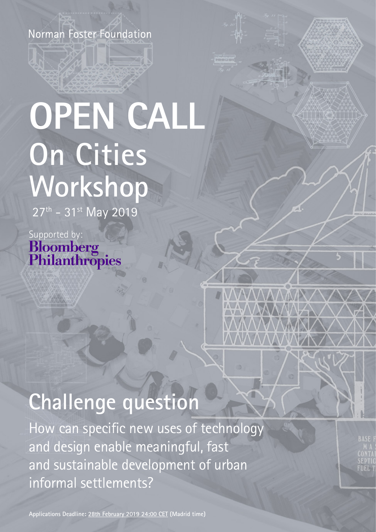Norman Foster Foundation

# **OPEN CALL On Cities Workshop**

27<sup>th</sup> - 31<sup>st</sup> May 2019

Supported by:<br> **Bloomberg**<br> **Philanthropies** 

# **Challenge question**

How can specific new uses of technology and design enable meaningful, fast and sustainable development of urban informal settlements?

**Applications Deadline: 28th February 2019 24:00 CET (Madrid time)**

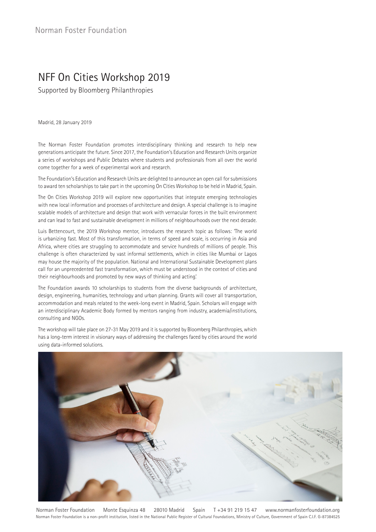## NFF On Cities Workshop 2019

Supported by Bloomberg Philanthropies

Madrid, 28 January 2019

The Norman Foster Foundation promotes interdisciplinary thinking and research to help new generations anticipate the future. Since 2017, the Foundation's Education and Research Units organize a series of workshops and Public Debates where students and professionals from all over the world come together for a week of experimental work and research.

The Foundation's Education and Research Units are delighted to announce an open call for submissions to award ten scholarships to take part in the upcoming On Cities Workshop to be held in Madrid, Spain.

The On Cities Workshop 2019 will explore new opportunities that integrate emerging technologies with new local information and processes of architecture and design. A special challenge is to imagine scalable models of architecture and design that work with vernacular forces in the built environment and can lead to fast and sustainable development in millions of neighbourhoods over the next decade.

Luis Bettencourt, the 2019 Workshop mentor, introduces the research topic as follows: 'The world is urbanizing fast. Most of this transformation, in terms of speed and scale, is occurring in Asia and Africa, where cities are struggling to accommodate and service hundreds of millions of people. This challenge is often characterized by vast informal settlements, which in cities like Mumbai or Lagos may house the majority of the population. National and International Sustainable Development plans call for an unprecedented fast transformation, which must be understood in the context of cities and their neighbourhoods and promoted by new ways of thinking and acting.'

The Foundation awards 10 scholarships to students from the diverse backgrounds of architecture, design, engineering, humanities, technology and urban planning. Grants will cover all transportation, accommodation and meals related to the week-long event in Madrid, Spain. Scholars will engage with an interdisciplinary Academic Body formed by mentors ranging from industry, academia/institutions, consulting and NGOs.

The workshop will take place on 27-31 May 2019 and it is supported by Bloomberg Philanthropies, which has a long-term interest in visionary ways of addressing the challenges faced by cities around the world using data-informed solutions.